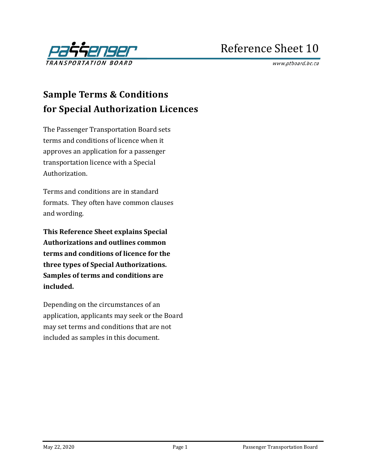

# Reference Sheet 10

www.ptboard.bc.ca

# **Sample Terms & Conditions for Special Authorization Licences**

The Passenger Transportation Board sets terms and conditions of licence when it approves an application for a passenger transportation licence with a Special Authorization.

Terms and conditions are in standard formats. They often have common clauses and wording.

**This Reference Sheet explains Special Authorizations and outlines common terms and conditions of licence for the three types of Special Authorizations. Samples of terms and conditions are included.**

Depending on the circumstances of an application, applicants may seek or the Board may set terms and conditions that are not included as samples in this document.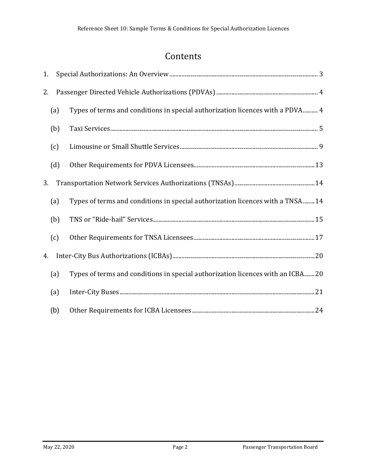# Contents

| 1.  |     |                                                                                |  |  |
|-----|-----|--------------------------------------------------------------------------------|--|--|
| 2.  |     |                                                                                |  |  |
|     | (a) | Types of terms and conditions in special authorization licences with a PDVA 4  |  |  |
|     | (b) |                                                                                |  |  |
|     | (c) |                                                                                |  |  |
|     | (d) |                                                                                |  |  |
| 3.  |     |                                                                                |  |  |
|     | (a) | Types of terms and conditions in special authorization licences with a TNSA14  |  |  |
|     | (b) |                                                                                |  |  |
| (c) |     |                                                                                |  |  |
| 4.  |     |                                                                                |  |  |
|     | (a) | Types of terms and conditions in special authorization licences with an ICBA20 |  |  |
|     | (a) |                                                                                |  |  |
|     | (b) |                                                                                |  |  |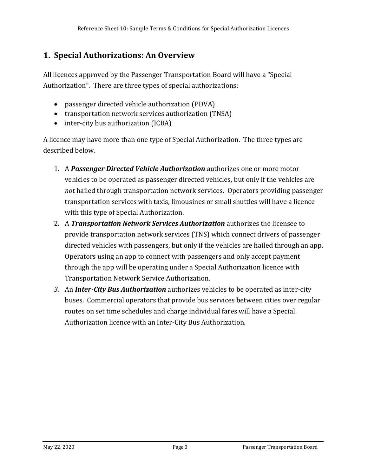## <span id="page-2-0"></span>**1. Special Authorizations: An Overview**

All licences approved by the Passenger Transportation Board will have a "Special Authorization". There are three types of special authorizations:

- passenger directed vehicle authorization (PDVA)
- transportation network services authorization (TNSA)
- inter-city bus authorization (ICBA)

A licence may have more than one type of Special Authorization. The three types are described below.

- 1. A *Passenger Directed Vehicle Authorization* authorizes one or more motor vehicles to be operated as passenger directed vehicles, but only if the vehicles are *not* hailed through transportation network services. Operators providing passenger transportation services with taxis, limousines or small shuttles will have a licence with this type of Special Authorization.
- 2. A *Transportation Network Services Authorization* authorizes the licensee to provide transportation network services (TNS) which connect drivers of passenger directed vehicles with passengers, but only if the vehicles are hailed through an app. Operators using an app to connect with passengers and only accept payment through the app will be operating under a Special Authorization licence with Transportation Network Service Authorization.
- *3.* An *Inter-City Bus Authorization* authorizes vehicles to be operated as inter-city buses. Commercial operators that provide bus services between cities over regular routes on set time schedules and charge individual fares will have a Special Authorization licence with an Inter-City Bus Authorization.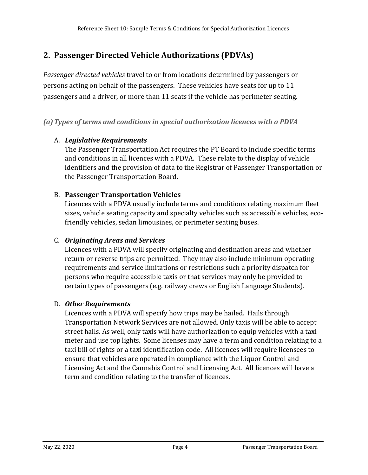## <span id="page-3-0"></span>**2. Passenger Directed Vehicle Authorizations (PDVAs)**

*Passenger directed vehicles* travel to or from locations determined by passengers or persons acting on behalf of the passengers. These vehicles have seats for up to 11 passengers and a driver, or more than 11 seats if the vehicle has perimeter seating.

#### <span id="page-3-1"></span>*(a)Types of terms and conditions in special authorization licences with a PDVA*

### A. *Legislative Requirements*

The Passenger Transportation Act requires the PT Board to include specific terms and conditions in all licences with a PDVA. These relate to the display of vehicle identifiers and the provision of data to the Registrar of Passenger Transportation or the Passenger Transportation Board.

#### B. **Passenger Transportation Vehicles**

Licences with a PDVA usually include terms and conditions relating maximum fleet sizes, vehicle seating capacity and specialty vehicles such as accessible vehicles, ecofriendly vehicles, sedan limousines, or perimeter seating buses.

#### C. *Originating Areas and Services*

Licences with a PDVA will specify originating and destination areas and whether return or reverse trips are permitted. They may also include minimum operating requirements and service limitations or restrictions such a priority dispatch for persons who require accessible taxis or that services may only be provided to certain types of passengers (e.g. railway crews or English Language Students).

#### D. *Other Requirements*

Licences with a PDVA will specify how trips may be hailed. Hails through Transportation Network Services are not allowed. Only taxis will be able to accept street hails. As well, only taxis will have authorization to equip vehicles with a taxi meter and use top lights. Some licenses may have a term and condition relating to a taxi bill of rights or a taxi identification code. All licences will require licensees to ensure that vehicles are operated in compliance with the Liquor Control and Licensing Act and the Cannabis Control and Licensing Act. All licences will have a term and condition relating to the transfer of licences.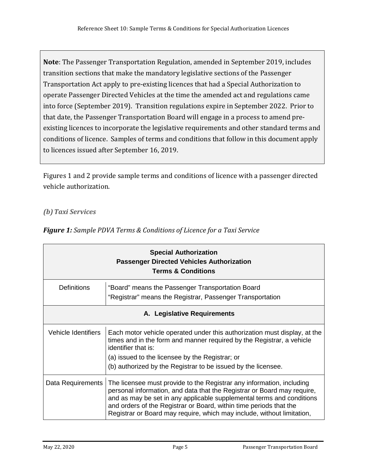**Note**: The Passenger Transportation Regulation, amended in September 2019, includes transition sections that make the mandatory legislative sections of the Passenger Transportation Act apply to pre-existing licences that had a Special Authorization to operate Passenger Directed Vehicles at the time the amended act and regulations came into force (September 2019). Transition regulations expire in September 2022. Prior to that date, the Passenger Transportation Board will engage in a process to amend preexisting licences to incorporate the legislative requirements and other standard terms and conditions of licence. Samples of terms and conditions that follow in this document apply to licences issued after September 16, 2019.

Figures 1 and 2 provide sample terms and conditions of licence with a passenger directed vehicle authorization.

#### <span id="page-4-0"></span>*(b)Taxi Services*

|                             | <b>Special Authorization</b><br><b>Passenger Directed Vehicles Authorization</b><br><b>Terms &amp; Conditions</b>                                                                                                                                                                                                                                                         |  |
|-----------------------------|---------------------------------------------------------------------------------------------------------------------------------------------------------------------------------------------------------------------------------------------------------------------------------------------------------------------------------------------------------------------------|--|
| <b>Definitions</b>          | "Board" means the Passenger Transportation Board<br>"Registrar" means the Registrar, Passenger Transportation                                                                                                                                                                                                                                                             |  |
| A. Legislative Requirements |                                                                                                                                                                                                                                                                                                                                                                           |  |
| Vehicle Identifiers         | Each motor vehicle operated under this authorization must display, at the<br>times and in the form and manner required by the Registrar, a vehicle<br>identifier that is:                                                                                                                                                                                                 |  |
|                             | (a) issued to the licensee by the Registrar; or                                                                                                                                                                                                                                                                                                                           |  |
|                             | (b) authorized by the Registrar to be issued by the licensee.                                                                                                                                                                                                                                                                                                             |  |
| Data Requirements           | The licensee must provide to the Registrar any information, including<br>personal information, and data that the Registrar or Board may require,<br>and as may be set in any applicable supplemental terms and conditions<br>and orders of the Registrar or Board, within time periods that the<br>Registrar or Board may require, which may include, without limitation, |  |

*Figure 1: Sample PDVA Terms & Conditions of Licence for a Taxi Service*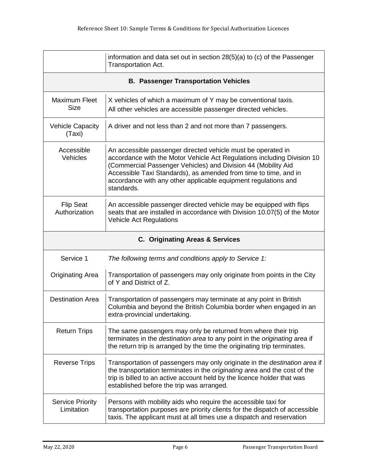|                                             | information and data set out in section $28(5)(a)$ to (c) of the Passenger<br>Transportation Act.                                                                                                                                                                                                                                                            |
|---------------------------------------------|--------------------------------------------------------------------------------------------------------------------------------------------------------------------------------------------------------------------------------------------------------------------------------------------------------------------------------------------------------------|
| <b>B. Passenger Transportation Vehicles</b> |                                                                                                                                                                                                                                                                                                                                                              |
| Maximum Fleet<br><b>Size</b>                | X vehicles of which a maximum of Y may be conventional taxis.<br>All other vehicles are accessible passenger directed vehicles.                                                                                                                                                                                                                              |
| <b>Vehicle Capacity</b><br>(Taxi)           | A driver and not less than 2 and not more than 7 passengers.                                                                                                                                                                                                                                                                                                 |
| Accessible<br><b>Vehicles</b>               | An accessible passenger directed vehicle must be operated in<br>accordance with the Motor Vehicle Act Regulations including Division 10<br>(Commercial Passenger Vehicles) and Division 44 (Mobility Aid<br>Accessible Taxi Standards), as amended from time to time, and in<br>accordance with any other applicable equipment regulations and<br>standards. |
| <b>Flip Seat</b><br>Authorization           | An accessible passenger directed vehicle may be equipped with flips<br>seats that are installed in accordance with Division 10.07(5) of the Motor<br><b>Vehicle Act Regulations</b>                                                                                                                                                                          |
| . <b>.</b> .<br>- 0 0 -                     |                                                                                                                                                                                                                                                                                                                                                              |

#### **C. Originating Areas & Services**

| Service 1                             | The following terms and conditions apply to Service 1:                                                                                                                                                                                                                                        |
|---------------------------------------|-----------------------------------------------------------------------------------------------------------------------------------------------------------------------------------------------------------------------------------------------------------------------------------------------|
| Originating Area                      | Transportation of passengers may only originate from points in the City<br>of Y and District of Z.                                                                                                                                                                                            |
| <b>Destination Area</b>               | Transportation of passengers may terminate at any point in British<br>Columbia and beyond the British Columbia border when engaged in an<br>extra-provincial undertaking.                                                                                                                     |
| <b>Return Trips</b>                   | The same passengers may only be returned from where their trip<br>terminates in the destination area to any point in the originating area if<br>the return trip is arranged by the time the originating trip terminates.                                                                      |
| <b>Reverse Trips</b>                  | Transportation of passengers may only originate in the <i>destination area</i> if<br>the transportation terminates in the <i>originating area</i> and the cost of the<br>trip is billed to an active account held by the licence holder that was<br>established before the trip was arranged. |
| <b>Service Priority</b><br>Limitation | Persons with mobility aids who require the accessible taxi for<br>transportation purposes are priority clients for the dispatch of accessible<br>taxis. The applicant must at all times use a dispatch and reservation                                                                        |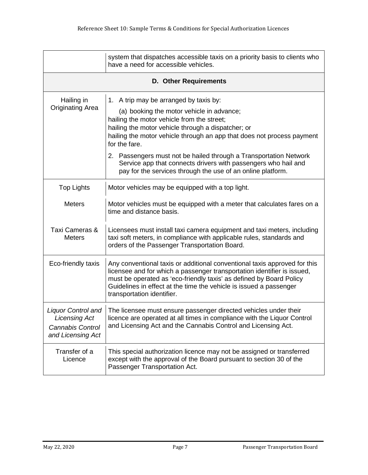|                                                                                                   | system that dispatches accessible taxis on a priority basis to clients who<br>have a need for accessible vehicles.                                                                                                                                                                                                                                                                                                                                                                       |  |  |
|---------------------------------------------------------------------------------------------------|------------------------------------------------------------------------------------------------------------------------------------------------------------------------------------------------------------------------------------------------------------------------------------------------------------------------------------------------------------------------------------------------------------------------------------------------------------------------------------------|--|--|
|                                                                                                   | <b>D. Other Requirements</b>                                                                                                                                                                                                                                                                                                                                                                                                                                                             |  |  |
| Hailing in<br><b>Originating Area</b>                                                             | 1. A trip may be arranged by taxis by:<br>(a) booking the motor vehicle in advance;<br>hailing the motor vehicle from the street;<br>hailing the motor vehicle through a dispatcher; or<br>hailing the motor vehicle through an app that does not process payment<br>for the fare.<br>2. Passengers must not be hailed through a Transportation Network<br>Service app that connects drivers with passengers who hail and<br>pay for the services through the use of an online platform. |  |  |
| <b>Top Lights</b>                                                                                 | Motor vehicles may be equipped with a top light.                                                                                                                                                                                                                                                                                                                                                                                                                                         |  |  |
| <b>Meters</b>                                                                                     | Motor vehicles must be equipped with a meter that calculates fares on a<br>time and distance basis.                                                                                                                                                                                                                                                                                                                                                                                      |  |  |
| Taxi Cameras &<br><b>Meters</b>                                                                   | Licensees must install taxi camera equipment and taxi meters, including<br>taxi soft meters, in compliance with applicable rules, standards and<br>orders of the Passenger Transportation Board.                                                                                                                                                                                                                                                                                         |  |  |
| Eco-friendly taxis                                                                                | Any conventional taxis or additional conventional taxis approved for this<br>licensee and for which a passenger transportation identifier is issued,<br>must be operated as 'eco-friendly taxis' as defined by Board Policy<br>Guidelines in effect at the time the vehicle is issued a passenger<br>transportation identifier.                                                                                                                                                          |  |  |
| <b>Liquor Control and</b><br><b>Licensing Act</b><br><b>Cannabis Control</b><br>and Licensing Act | The licensee must ensure passenger directed vehicles under their<br>licence are operated at all times in compliance with the Liquor Control<br>and Licensing Act and the Cannabis Control and Licensing Act.                                                                                                                                                                                                                                                                             |  |  |
| Transfer of a<br>Licence                                                                          | This special authorization licence may not be assigned or transferred<br>except with the approval of the Board pursuant to section 30 of the<br>Passenger Transportation Act.                                                                                                                                                                                                                                                                                                            |  |  |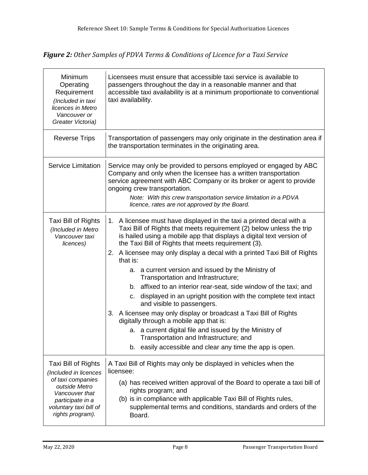*Figure 2: Other Samples of PDVA Terms & Conditions of Licence for a Taxi Service*

| Minimum<br>Operating<br>Requirement<br>(Included in taxi<br>licences in Metro<br>Vancouver or<br>Greater Victoria)                                                     | Licensees must ensure that accessible taxi service is available to<br>passengers throughout the day in a reasonable manner and that<br>accessible taxi availability is at a minimum proportionate to conventional<br>taxi availability.                                                                                                                                                                                                                                                                                                                                                                                                                                                                                                                                                                                                                                                                                         |
|------------------------------------------------------------------------------------------------------------------------------------------------------------------------|---------------------------------------------------------------------------------------------------------------------------------------------------------------------------------------------------------------------------------------------------------------------------------------------------------------------------------------------------------------------------------------------------------------------------------------------------------------------------------------------------------------------------------------------------------------------------------------------------------------------------------------------------------------------------------------------------------------------------------------------------------------------------------------------------------------------------------------------------------------------------------------------------------------------------------|
| <b>Reverse Trips</b>                                                                                                                                                   | Transportation of passengers may only originate in the destination area if<br>the transportation terminates in the originating area.                                                                                                                                                                                                                                                                                                                                                                                                                                                                                                                                                                                                                                                                                                                                                                                            |
| <b>Service Limitation</b>                                                                                                                                              | Service may only be provided to persons employed or engaged by ABC<br>Company and only when the licensee has a written transportation<br>service agreement with ABC Company or its broker or agent to provide<br>ongoing crew transportation.<br>Note: With this crew transportation service limitation in a PDVA<br>licence, rates are not approved by the Board.                                                                                                                                                                                                                                                                                                                                                                                                                                                                                                                                                              |
| Taxi Bill of Rights<br>(Included in Metro<br>Vancouver taxi<br>licences)                                                                                               | 1. A licensee must have displayed in the taxi a printed decal with a<br>Taxi Bill of Rights that meets requirement (2) below unless the trip<br>is hailed using a mobile app that displays a digital text version of<br>the Taxi Bill of Rights that meets requirement (3).<br>A licensee may only display a decal with a printed Taxi Bill of Rights<br>2.<br>that is:<br>a. a current version and issued by the Ministry of<br>Transportation and Infrastructure;<br>b. affixed to an interior rear-seat, side window of the taxi; and<br>displayed in an upright position with the complete text intact<br>C.<br>and visible to passengers.<br>3. A licensee may only display or broadcast a Taxi Bill of Rights<br>digitally through a mobile app that is:<br>a. a current digital file and issued by the Ministry of<br>Transportation and Infrastructure; and<br>b. easily accessible and clear any time the app is open. |
| Taxi Bill of Rights<br>(Included in licences<br>of taxi companies<br>outside Metro<br>Vancouver that<br>participate in a<br>voluntary taxi bill of<br>rights program). | A Taxi Bill of Rights may only be displayed in vehicles when the<br>licensee:<br>(a) has received written approval of the Board to operate a taxi bill of<br>rights program; and<br>(b) is in compliance with applicable Taxi Bill of Rights rules,<br>supplemental terms and conditions, standards and orders of the<br>Board.                                                                                                                                                                                                                                                                                                                                                                                                                                                                                                                                                                                                 |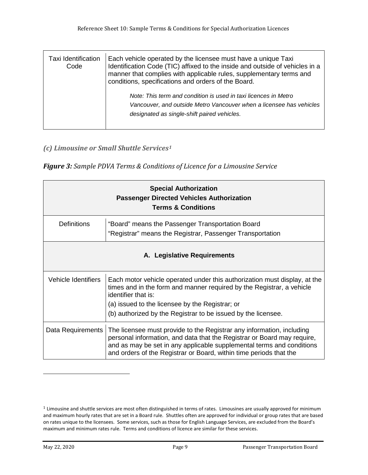| Taxi Identification<br>Code | Each vehicle operated by the licensee must have a unique Taxi<br>Identification Code (TIC) affixed to the inside and outside of vehicles in a<br>manner that complies with applicable rules, supplementary terms and<br>conditions, specifications and orders of the Board. |
|-----------------------------|-----------------------------------------------------------------------------------------------------------------------------------------------------------------------------------------------------------------------------------------------------------------------------|
|                             | Note: This term and condition is used in taxi licences in Metro<br>Vancouver, and outside Metro Vancouver when a licensee has vehicles<br>designated as single-shift paired vehicles.                                                                                       |

#### <span id="page-8-0"></span>*(c) Limousine or Small Shuttle Services[1](#page-8-1)*

*Figure 3: Sample PDVA Terms & Conditions of Licence for a Limousine Service*

| <b>Special Authorization</b><br><b>Passenger Directed Vehicles Authorization</b><br><b>Terms &amp; Conditions</b> |                                                                                                                                                                                                                                                                                                 |  |
|-------------------------------------------------------------------------------------------------------------------|-------------------------------------------------------------------------------------------------------------------------------------------------------------------------------------------------------------------------------------------------------------------------------------------------|--|
| <b>Definitions</b>                                                                                                | "Board" means the Passenger Transportation Board<br>"Registrar" means the Registrar, Passenger Transportation                                                                                                                                                                                   |  |
| A. Legislative Requirements                                                                                       |                                                                                                                                                                                                                                                                                                 |  |
| Vehicle Identifiers                                                                                               | Each motor vehicle operated under this authorization must display, at the<br>times and in the form and manner required by the Registrar, a vehicle<br>identifier that is:<br>(a) issued to the licensee by the Registrar; or<br>(b) authorized by the Registrar to be issued by the licensee.   |  |
| Data Requirements                                                                                                 | The licensee must provide to the Registrar any information, including<br>personal information, and data that the Registrar or Board may require,<br>and as may be set in any applicable supplemental terms and conditions<br>and orders of the Registrar or Board, within time periods that the |  |

i<br>I

<span id="page-8-1"></span> $1$  Limousine and shuttle services are most often distinguished in terms of rates. Limousines are usually approved for minimum and maximum hourly rates that are set in a Board rule. Shuttles often are approved for individual or group rates that are based on rates unique to the licensees. Some services, such as those for English Language Services, are excluded from the Board's maximum and minimum rates rule. Terms and conditions of licence are similar for these services.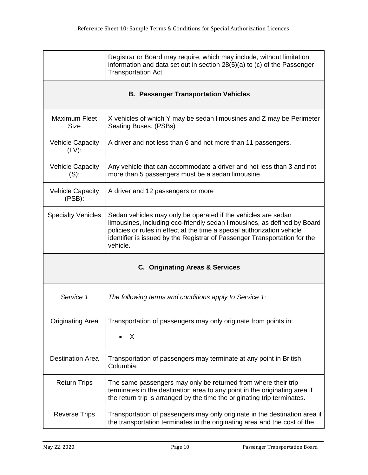|                                            | Registrar or Board may require, which may include, without limitation,<br>information and data set out in section 28(5)(a) to (c) of the Passenger<br>Transportation Act.                                                                                                                                     |  |  |
|--------------------------------------------|---------------------------------------------------------------------------------------------------------------------------------------------------------------------------------------------------------------------------------------------------------------------------------------------------------------|--|--|
|                                            | <b>B. Passenger Transportation Vehicles</b>                                                                                                                                                                                                                                                                   |  |  |
| <b>Maximum Fleet</b><br><b>Size</b>        | X vehicles of which Y may be sedan limousines and Z may be Perimeter<br>Seating Buses. (PSBs)                                                                                                                                                                                                                 |  |  |
| <b>Vehicle Capacity</b><br>$(LV)$ :        | A driver and not less than 6 and not more than 11 passengers.                                                                                                                                                                                                                                                 |  |  |
| <b>Vehicle Capacity</b><br>$(S)$ :         | Any vehicle that can accommodate a driver and not less than 3 and not<br>more than 5 passengers must be a sedan limousine.                                                                                                                                                                                    |  |  |
| <b>Vehicle Capacity</b><br>(PSB):          | A driver and 12 passengers or more                                                                                                                                                                                                                                                                            |  |  |
| <b>Specialty Vehicles</b>                  | Sedan vehicles may only be operated if the vehicles are sedan<br>limousines, including eco-friendly sedan limousines, as defined by Board<br>policies or rules in effect at the time a special authorization vehicle<br>identifier is issued by the Registrar of Passenger Transportation for the<br>vehicle. |  |  |
| <b>C. Originating Areas &amp; Services</b> |                                                                                                                                                                                                                                                                                                               |  |  |
| Service 1                                  | The following terms and conditions apply to Service 1:                                                                                                                                                                                                                                                        |  |  |
| <b>Originating Area</b>                    | Transportation of passengers may only originate from points in:<br>X                                                                                                                                                                                                                                          |  |  |
| <b>Destination Area</b>                    | Transportation of passengers may terminate at any point in British<br>Columbia.                                                                                                                                                                                                                               |  |  |
| <b>Return Trips</b>                        | The same passengers may only be returned from where their trip<br>terminates in the destination area to any point in the originating area if<br>the return trip is arranged by the time the originating trip terminates.                                                                                      |  |  |
| <b>Reverse Trips</b>                       | Transportation of passengers may only originate in the destination area if<br>the transportation terminates in the originating area and the cost of the                                                                                                                                                       |  |  |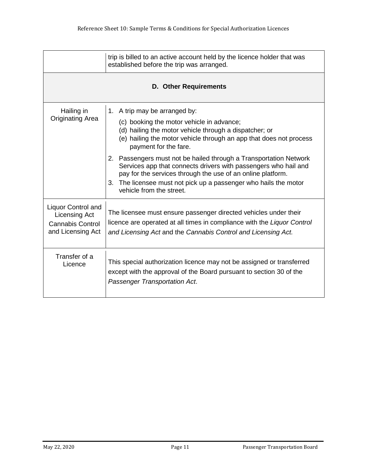|                                                                                                   | trip is billed to an active account held by the licence holder that was<br>established before the trip was arranged.                                                                                                                                                                                                                                                                                                                                                                                                                          |  |
|---------------------------------------------------------------------------------------------------|-----------------------------------------------------------------------------------------------------------------------------------------------------------------------------------------------------------------------------------------------------------------------------------------------------------------------------------------------------------------------------------------------------------------------------------------------------------------------------------------------------------------------------------------------|--|
| <b>D. Other Requirements</b>                                                                      |                                                                                                                                                                                                                                                                                                                                                                                                                                                                                                                                               |  |
| Hailing in<br><b>Originating Area</b>                                                             | 1. A trip may be arranged by:<br>(c) booking the motor vehicle in advance;<br>(d) hailing the motor vehicle through a dispatcher; or<br>(e) hailing the motor vehicle through an app that does not process<br>payment for the fare.<br>2. Passengers must not be hailed through a Transportation Network<br>Services app that connects drivers with passengers who hail and<br>pay for the services through the use of an online platform.<br>The licensee must not pick up a passenger who hails the motor<br>3.<br>vehicle from the street. |  |
| <b>Liquor Control and</b><br><b>Licensing Act</b><br><b>Cannabis Control</b><br>and Licensing Act | The licensee must ensure passenger directed vehicles under their<br>licence are operated at all times in compliance with the Liquor Control<br>and Licensing Act and the Cannabis Control and Licensing Act.                                                                                                                                                                                                                                                                                                                                  |  |
| Transfer of a<br>Licence                                                                          | This special authorization licence may not be assigned or transferred<br>except with the approval of the Board pursuant to section 30 of the<br>Passenger Transportation Act.                                                                                                                                                                                                                                                                                                                                                                 |  |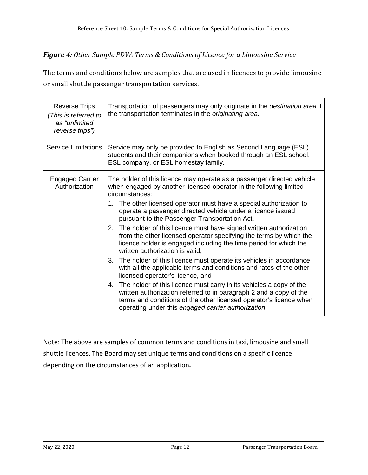#### *Figure 4: Other Sample PDVA Terms & Conditions of Licence for a Limousine Service*

The terms and conditions below are samples that are used in licences to provide limousine or small shuttle passenger transportation services.

| <b>Reverse Trips</b><br>(This is referred to<br>as "unlimited<br>reverse trips") | Transportation of passengers may only originate in the <i>destination area</i> if<br>the transportation terminates in the originating area.                                                                                                                                                                                                                                                                                                                                                                                                                                                                                                                                                                                                                                                                                                                                                                                                                                                                                                                                           |
|----------------------------------------------------------------------------------|---------------------------------------------------------------------------------------------------------------------------------------------------------------------------------------------------------------------------------------------------------------------------------------------------------------------------------------------------------------------------------------------------------------------------------------------------------------------------------------------------------------------------------------------------------------------------------------------------------------------------------------------------------------------------------------------------------------------------------------------------------------------------------------------------------------------------------------------------------------------------------------------------------------------------------------------------------------------------------------------------------------------------------------------------------------------------------------|
| <b>Service Limitations</b>                                                       | Service may only be provided to English as Second Language (ESL)<br>students and their companions when booked through an ESL school,<br>ESL company, or ESL homestay family.                                                                                                                                                                                                                                                                                                                                                                                                                                                                                                                                                                                                                                                                                                                                                                                                                                                                                                          |
| <b>Engaged Carrier</b><br>Authorization                                          | The holder of this licence may operate as a passenger directed vehicle<br>when engaged by another licensed operator in the following limited<br>circumstances:<br>1. The other licensed operator must have a special authorization to<br>operate a passenger directed vehicle under a licence issued<br>pursuant to the Passenger Transportation Act,<br>The holder of this licence must have signed written authorization<br>2.<br>from the other licensed operator specifying the terms by which the<br>licence holder is engaged including the time period for which the<br>written authorization is valid.<br>The holder of this licence must operate its vehicles in accordance<br>3.<br>with all the applicable terms and conditions and rates of the other<br>licensed operator's licence, and<br>The holder of this licence must carry in its vehicles a copy of the<br>4.<br>written authorization referred to in paragraph 2 and a copy of the<br>terms and conditions of the other licensed operator's licence when<br>operating under this engaged carrier authorization. |

Note: The above are samples of common terms and conditions in taxi, limousine and small shuttle licences. The Board may set unique terms and conditions on a specific licence depending on the circumstances of an application**.**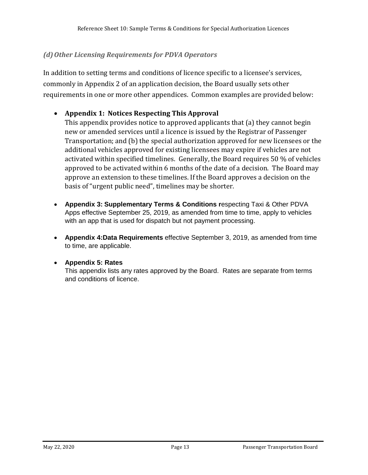#### <span id="page-12-0"></span>*(d)Other Licensing Requirements for PDVA Operators*

In addition to setting terms and conditions of licence specific to a licensee's services, commonly in Appendix 2 of an application decision, the Board usually sets other requirements in one or more other appendices. Common examples are provided below:

#### • **Appendix 1: Notices Respecting This Approval**

This appendix provides notice to approved applicants that (a) they cannot begin new or amended services until a licence is issued by the Registrar of Passenger Transportation; and (b) the special authorization approved for new licensees or the additional vehicles approved for existing licensees may expire if vehicles are not activated within specified timelines. Generally, the Board requires 50 % of vehicles approved to be activated within 6 months of the date of a decision. The Board may approve an extension to these timelines. If the Board approves a decision on the basis of "urgent public need", timelines may be shorter.

- **Appendix 3: [Supplementary Terms & Conditions r](https://www.ptboard.bc.ca/documents/t-and-c_pdva-apps.pdf)**especting Taxi & Other PDVA [Apps](https://www.ptboard.bc.ca/documents/t-and-c_pdva-apps.pdf) effective September 25, 2019, as amended from time to time, apply to vehicles with an app that is used for dispatch but not payment processing.
- **Appendix 4[:Data Requirements](https://www.ptboard.bc.ca/documents/Data_Requirements.pdf)** effective September 3, 2019, as amended from time to time, are applicable.

#### • **Appendix 5: Rates**

This appendix lists any rates approved by the Board. Rates are separate from terms and conditions of licence.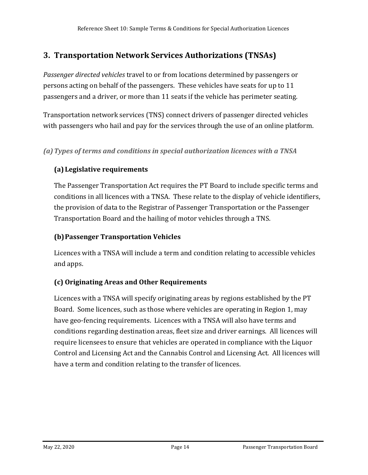## <span id="page-13-0"></span>**3. Transportation Network Services Authorizations (TNSAs)**

*Passenger directed vehicles* travel to or from locations determined by passengers or persons acting on behalf of the passengers. These vehicles have seats for up to 11 passengers and a driver, or more than 11 seats if the vehicle has perimeter seating.

Transportation network services (TNS) connect drivers of passenger directed vehicles with passengers who hail and pay for the services through the use of an online platform.

<span id="page-13-1"></span>*(a)Types of terms and conditions in special authorization licences with a TNSA*

### **(a) Legislative requirements**

The Passenger Transportation Act requires the PT Board to include specific terms and conditions in all licences with a TNSA. These relate to the display of vehicle identifiers, the provision of data to the Registrar of Passenger Transportation or the Passenger Transportation Board and the hailing of motor vehicles through a TNS.

#### **(b)Passenger Transportation Vehicles**

Licences with a TNSA will include a term and condition relating to accessible vehicles and apps.

### **(c) Originating Areas and Other Requirements**

Licences with a TNSA will specify originating areas by regions established by the PT Board. Some licences, such as those where vehicles are operating in Region 1, may have geo-fencing requirements. Licences with a TNSA will also have terms and conditions regarding destination areas, fleet size and driver earnings. All licences will require licensees to ensure that vehicles are operated in compliance with the Liquor Control and Licensing Act and the Cannabis Control and Licensing Act. All licences will have a term and condition relating to the transfer of licences.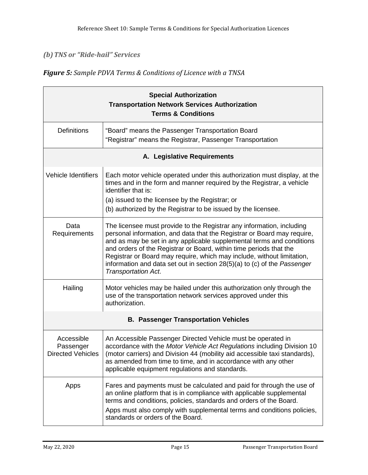#### <span id="page-14-0"></span>*(b)TNS or "Ride-hail" Services*

#### *Figure 5: Sample PDVA Terms & Conditions of Licence with a TNSA*

| <b>Special Authorization</b><br><b>Transportation Network Services Authorization</b><br><b>Terms &amp; Conditions</b> |                                                                                                                                                                                                                                                                                                                                                                                                                                                                                |  |
|-----------------------------------------------------------------------------------------------------------------------|--------------------------------------------------------------------------------------------------------------------------------------------------------------------------------------------------------------------------------------------------------------------------------------------------------------------------------------------------------------------------------------------------------------------------------------------------------------------------------|--|
| <b>Definitions</b>                                                                                                    | "Board" means the Passenger Transportation Board<br>"Registrar" means the Registrar, Passenger Transportation                                                                                                                                                                                                                                                                                                                                                                  |  |
|                                                                                                                       | A. Legislative Requirements                                                                                                                                                                                                                                                                                                                                                                                                                                                    |  |
| <b>Vehicle Identifiers</b>                                                                                            | Each motor vehicle operated under this authorization must display, at the<br>times and in the form and manner required by the Registrar, a vehicle<br>identifier that is:<br>(a) issued to the licensee by the Registrar; or<br>(b) authorized by the Registrar to be issued by the licensee.                                                                                                                                                                                  |  |
| Data<br>Requirements                                                                                                  | The licensee must provide to the Registrar any information, including<br>personal information, and data that the Registrar or Board may require,<br>and as may be set in any applicable supplemental terms and conditions<br>and orders of the Registrar or Board, within time periods that the<br>Registrar or Board may require, which may include, without limitation,<br>information and data set out in section $28(5)(a)$ to (c) of the Passenger<br>Transportation Act. |  |
| Hailing                                                                                                               | Motor vehicles may be hailed under this authorization only through the<br>use of the transportation network services approved under this<br>authorization.                                                                                                                                                                                                                                                                                                                     |  |
| <b>B. Passenger Transportation Vehicles</b>                                                                           |                                                                                                                                                                                                                                                                                                                                                                                                                                                                                |  |
| Accessible<br>Passenger<br><b>Directed Vehicles</b>                                                                   | An Accessible Passenger Directed Vehicle must be operated in<br>accordance with the Motor Vehicle Act Regulations including Division 10<br>(motor carriers) and Division 44 (mobility aid accessible taxi standards),<br>as amended from time to time, and in accordance with any other<br>applicable equipment regulations and standards.                                                                                                                                     |  |
| Apps                                                                                                                  | Fares and payments must be calculated and paid for through the use of<br>an online platform that is in compliance with applicable supplemental<br>terms and conditions, policies, standards and orders of the Board.<br>Apps must also comply with supplemental terms and conditions policies,<br>standards or orders of the Board.                                                                                                                                            |  |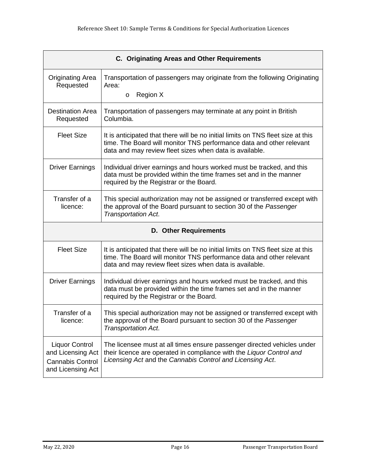| C. Originating Areas and Other Requirements                                                |                                                                                                                                                                                                                     |  |
|--------------------------------------------------------------------------------------------|---------------------------------------------------------------------------------------------------------------------------------------------------------------------------------------------------------------------|--|
| <b>Originating Area</b><br>Requested                                                       | Transportation of passengers may originate from the following Originating<br>Area:<br>Region X<br>$\circ$                                                                                                           |  |
| <b>Destination Area</b>                                                                    | Transportation of passengers may terminate at any point in British                                                                                                                                                  |  |
| Requested                                                                                  | Columbia.                                                                                                                                                                                                           |  |
| <b>Fleet Size</b>                                                                          | It is anticipated that there will be no initial limits on TNS fleet size at this<br>time. The Board will monitor TNS performance data and other relevant<br>data and may review fleet sizes when data is available. |  |
| <b>Driver Earnings</b>                                                                     | Individual driver earnings and hours worked must be tracked, and this<br>data must be provided within the time frames set and in the manner<br>required by the Registrar or the Board.                              |  |
| Transfer of a<br>licence:                                                                  | This special authorization may not be assigned or transferred except with<br>the approval of the Board pursuant to section 30 of the Passenger<br><b>Transportation Act.</b>                                        |  |
| <b>D. Other Requirements</b>                                                               |                                                                                                                                                                                                                     |  |
| <b>Fleet Size</b>                                                                          | It is anticipated that there will be no initial limits on TNS fleet size at this<br>time. The Board will monitor TNS performance data and other relevant<br>data and may review fleet sizes when data is available. |  |
| <b>Driver Earnings</b>                                                                     | Individual driver earnings and hours worked must be tracked, and this<br>data must be provided within the time frames set and in the manner<br>required by the Registrar or the Board.                              |  |
| Transfer of a<br>licence:                                                                  | This special authorization may not be assigned or transferred except with<br>the approval of the Board pursuant to section 30 of the Passenger<br><b>Transportation Act.</b>                                        |  |
| <b>Liquor Control</b><br>and Licensing Act<br><b>Cannabis Control</b><br>and Licensing Act | The licensee must at all times ensure passenger directed vehicles under<br>their licence are operated in compliance with the Liquor Control and<br>Licensing Act and the Cannabis Control and Licensing Act.        |  |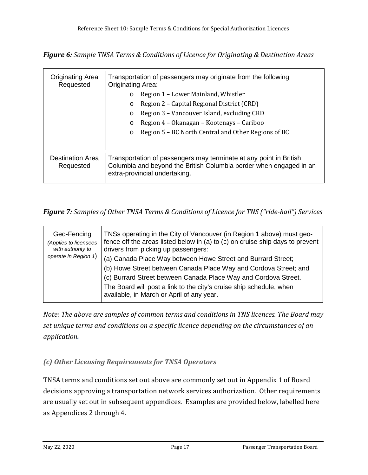*Figure 6: Sample TNSA Terms & Conditions of Licence for Originating & Destination Areas*

| <b>Originating Area</b><br>Requested | Transportation of passengers may originate from the following<br><b>Originating Area:</b>                                                                                 |  |  |
|--------------------------------------|---------------------------------------------------------------------------------------------------------------------------------------------------------------------------|--|--|
|                                      | Region 1 – Lower Mainland, Whistler<br>$\circ$                                                                                                                            |  |  |
|                                      | Region 2 – Capital Regional District (CRD)<br>O                                                                                                                           |  |  |
|                                      | Region 3 – Vancouver Island, excluding CRD<br>O                                                                                                                           |  |  |
|                                      | Region 4 – Okanagan – Kootenays – Cariboo<br>O                                                                                                                            |  |  |
|                                      | Region 5 – BC North Central and Other Regions of BC<br>$\circ$                                                                                                            |  |  |
|                                      |                                                                                                                                                                           |  |  |
| Destination Area<br>Requested        | Transportation of passengers may terminate at any point in British<br>Columbia and beyond the British Columbia border when engaged in an<br>extra-provincial undertaking. |  |  |

#### *Figure 7: Samples of Other TNSA Terms & Conditions of Licence for TNS ("ride-hail") Services*

| Geo-Fencing<br>(Applies to licensees<br>with authority to | TNSs operating in the City of Vancouver (in Region 1 above) must geo-<br>fence off the areas listed below in (a) to (c) on cruise ship days to prevent<br>drivers from picking up passengers: |
|-----------------------------------------------------------|-----------------------------------------------------------------------------------------------------------------------------------------------------------------------------------------------|
| operate in Region 1)                                      | (a) Canada Place Way between Howe Street and Burrard Street;                                                                                                                                  |
|                                                           | (b) Howe Street between Canada Place Way and Cordova Street; and                                                                                                                              |
|                                                           | (c) Burrard Street between Canada Place Way and Cordova Street.                                                                                                                               |
|                                                           | The Board will post a link to the city's cruise ship schedule, when<br>available, in March or April of any year.                                                                              |

*Note: The above are samples of common terms and conditions in TNS licences. The Board may set unique terms and conditions on a specific licence depending on the circumstances of an application.* 

### <span id="page-16-0"></span>*(c) Other Licensing Requirements for TNSA Operators*

TNSA terms and conditions set out above are commonly set out in Appendix 1 of Board decisions approving a transportation network services authorization. Other requirements are usually set out in subsequent appendices. Examples are provided below, labelled here as Appendices 2 through 4.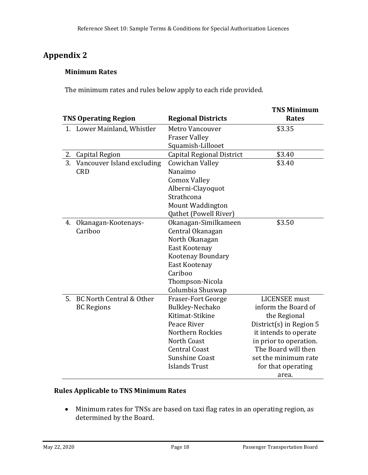## **Appendix 2**

### **Minimum Rates**

The minimum rates and rules below apply to each ride provided.

|    |                             |                                  | <b>TNS Minimum</b>        |
|----|-----------------------------|----------------------------------|---------------------------|
|    | <b>TNS Operating Region</b> | <b>Regional Districts</b>        | <b>Rates</b>              |
|    | 1. Lower Mainland, Whistler | <b>Metro Vancouver</b>           | \$3.35                    |
|    |                             | <b>Fraser Valley</b>             |                           |
|    |                             | Squamish-Lillooet                |                           |
| 2. | <b>Capital Region</b>       | <b>Capital Regional District</b> | \$3.40                    |
| 3. | Vancouver Island excluding  | Cowichan Valley                  | \$3.40                    |
|    | <b>CRD</b>                  | Nanaimo                          |                           |
|    |                             | <b>Comox Valley</b>              |                           |
|    |                             | Alberni-Clayoquot                |                           |
|    |                             | Strathcona                       |                           |
|    |                             | <b>Mount Waddington</b>          |                           |
|    |                             | Qathet (Powell River)            |                           |
| 4. | Okanagan-Kootenays-         | Okanagan-Similkameen             | \$3.50                    |
|    | Cariboo                     | Central Okanagan                 |                           |
|    |                             | North Okanagan                   |                           |
|    |                             | East Kootenay                    |                           |
|    |                             | <b>Kootenay Boundary</b>         |                           |
|    |                             | East Kootenay                    |                           |
|    |                             | Cariboo                          |                           |
|    |                             | Thompson-Nicola                  |                           |
|    |                             | Columbia Shuswap                 |                           |
| 5. | BC North Central & Other    | <b>Fraser-Fort George</b>        | <b>LICENSEE</b> must      |
|    | <b>BC</b> Regions           | Bulkley-Nechako                  | inform the Board of       |
|    |                             | Kitimat-Stikine                  | the Regional              |
|    |                             | Peace River                      | District(s) in Region $5$ |
|    |                             | Northern Rockies                 | it intends to operate     |
|    |                             | North Coast                      | in prior to operation.    |
|    |                             | <b>Central Coast</b>             | The Board will then       |
|    |                             | Sunshine Coast                   | set the minimum rate      |
|    |                             | <b>Islands Trust</b>             | for that operating        |
|    |                             |                                  | area.                     |

#### **Rules Applicable to TNS Minimum Rates**

• Minimum rates for TNSs are based on taxi flag rates in an operating region, as determined by the Board.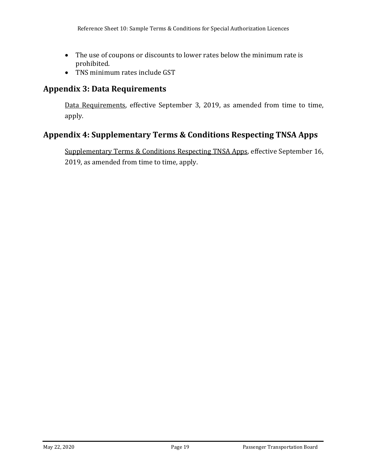- The use of coupons or discounts to lower rates below the minimum rate is prohibited.
- TNS minimum rates include GST

## **Appendix 3: Data Requirements**

[Data Requirements,](https://www.ptboard.bc.ca/documents/Data_Requirements.pdf) effective September 3, 2019, as amended from time to time, apply.

## **Appendix 4: Supplementary Terms & Conditions Respecting TNSA Apps**

[Supplementary Terms & Conditions Respecting TNSA Apps,](https://www.ptboard.bc.ca/documents/TNSA-Apps-T&Cs.pdf) effective September 16, 2019, as amended from time to time, apply.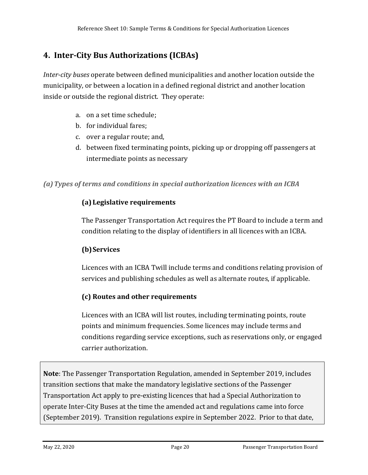## <span id="page-19-0"></span>**4. Inter-City Bus Authorizations (ICBAs)**

*Inter-city buses* operate between defined municipalities and another location outside the municipality, or between a location in a defined regional district and another location inside or outside the regional district. They operate:

- a. on a set time schedule;
- b. for individual fares;
- c. over a regular route; and,
- d. between fixed terminating points, picking up or dropping off passengers at intermediate points as necessary

<span id="page-19-1"></span>*(a)Types of terms and conditions in special authorization licences with an ICBA*

#### **(a) Legislative requirements**

The Passenger Transportation Act requires the PT Board to include a term and condition relating to the display of identifiers in all licences with an ICBA.

### **(b)Services**

Licences with an ICBA Twill include terms and conditions relating provision of services and publishing schedules as well as alternate routes, if applicable.

### **(c) Routes and other requirements**

Licences with an ICBA will list routes, including terminating points, route points and minimum frequencies. Some licences may include terms and conditions regarding service exceptions, such as reservations only, or engaged carrier authorization.

**Note**: The Passenger Transportation Regulation, amended in September 2019, includes transition sections that make the mandatory legislative sections of the Passenger Transportation Act apply to pre-existing licences that had a Special Authorization to operate Inter-City Buses at the time the amended act and regulations came into force (September 2019). Transition regulations expire in September 2022. Prior to that date,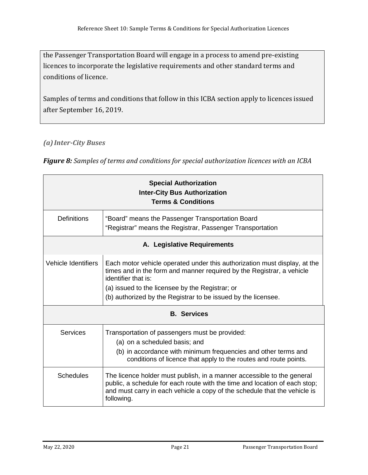the Passenger Transportation Board will engage in a process to amend pre-existing licences to incorporate the legislative requirements and other standard terms and conditions of licence.

Samples of terms and conditions that follow in this ICBA section apply to licences issued after September 16, 2019.

<span id="page-20-0"></span>*(a)Inter-City Buses* 

*Figure 8: Samples of terms and conditions for special authorization licences with an ICBA*

| <b>Special Authorization</b><br><b>Inter-City Bus Authorization</b><br><b>Terms &amp; Conditions</b> |                                                                                                                                                                                                                                                 |  |  |
|------------------------------------------------------------------------------------------------------|-------------------------------------------------------------------------------------------------------------------------------------------------------------------------------------------------------------------------------------------------|--|--|
| <b>Definitions</b>                                                                                   | "Board" means the Passenger Transportation Board<br>"Registrar" means the Registrar, Passenger Transportation                                                                                                                                   |  |  |
| A. Legislative Requirements                                                                          |                                                                                                                                                                                                                                                 |  |  |
| Vehicle Identifiers                                                                                  | Each motor vehicle operated under this authorization must display, at the<br>times and in the form and manner required by the Registrar, a vehicle<br>identifier that is:                                                                       |  |  |
|                                                                                                      | (a) issued to the licensee by the Registrar; or                                                                                                                                                                                                 |  |  |
|                                                                                                      | (b) authorized by the Registrar to be issued by the licensee.                                                                                                                                                                                   |  |  |
|                                                                                                      | <b>B.</b> Services                                                                                                                                                                                                                              |  |  |
| <b>Services</b>                                                                                      | Transportation of passengers must be provided:<br>(a) on a scheduled basis; and<br>(b) in accordance with minimum frequencies and other terms and<br>conditions of licence that apply to the routes and route points.                           |  |  |
| <b>Schedules</b>                                                                                     | The licence holder must publish, in a manner accessible to the general<br>public, a schedule for each route with the time and location of each stop;<br>and must carry in each vehicle a copy of the schedule that the vehicle is<br>following. |  |  |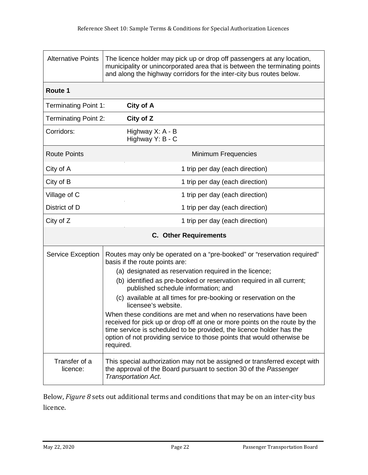| <b>Alternative Points</b>    | The licence holder may pick up or drop off passengers at any location,<br>municipality or unincorporated area that is between the terminating points<br>and along the highway corridors for the inter-city bus routes below.                                                                                                                                                                                                                                                                                                                                                                                                                                                                    |                                      |  |
|------------------------------|-------------------------------------------------------------------------------------------------------------------------------------------------------------------------------------------------------------------------------------------------------------------------------------------------------------------------------------------------------------------------------------------------------------------------------------------------------------------------------------------------------------------------------------------------------------------------------------------------------------------------------------------------------------------------------------------------|--------------------------------------|--|
| Route 1                      |                                                                                                                                                                                                                                                                                                                                                                                                                                                                                                                                                                                                                                                                                                 |                                      |  |
| <b>Terminating Point 1:</b>  |                                                                                                                                                                                                                                                                                                                                                                                                                                                                                                                                                                                                                                                                                                 | City of A                            |  |
| <b>Terminating Point 2:</b>  |                                                                                                                                                                                                                                                                                                                                                                                                                                                                                                                                                                                                                                                                                                 | City of Z                            |  |
| Corridors:                   |                                                                                                                                                                                                                                                                                                                                                                                                                                                                                                                                                                                                                                                                                                 | Highway X: A - B<br>Highway Y: B - C |  |
| <b>Route Points</b>          |                                                                                                                                                                                                                                                                                                                                                                                                                                                                                                                                                                                                                                                                                                 | Minimum Frequencies                  |  |
| City of A                    |                                                                                                                                                                                                                                                                                                                                                                                                                                                                                                                                                                                                                                                                                                 | 1 trip per day (each direction)      |  |
| City of B                    |                                                                                                                                                                                                                                                                                                                                                                                                                                                                                                                                                                                                                                                                                                 | 1 trip per day (each direction)      |  |
| Village of C                 |                                                                                                                                                                                                                                                                                                                                                                                                                                                                                                                                                                                                                                                                                                 | 1 trip per day (each direction)      |  |
| District of D                |                                                                                                                                                                                                                                                                                                                                                                                                                                                                                                                                                                                                                                                                                                 | 1 trip per day (each direction)      |  |
| City of Z                    |                                                                                                                                                                                                                                                                                                                                                                                                                                                                                                                                                                                                                                                                                                 | 1 trip per day (each direction)      |  |
| <b>C.</b> Other Requirements |                                                                                                                                                                                                                                                                                                                                                                                                                                                                                                                                                                                                                                                                                                 |                                      |  |
| <b>Service Exception</b>     | Routes may only be operated on a "pre-booked" or "reservation required"<br>basis if the route points are:<br>(a) designated as reservation required in the licence;<br>(b) identified as pre-booked or reservation required in all current;<br>published schedule information; and<br>(c) available at all times for pre-booking or reservation on the<br>licensee's website.<br>When these conditions are met and when no reservations have been<br>received for pick up or drop off at one or more points on the route by the<br>time service is scheduled to be provided, the licence holder has the<br>option of not providing service to those points that would otherwise be<br>required. |                                      |  |
| Transfer of a<br>licence:    | This special authorization may not be assigned or transferred except with<br>the approval of the Board pursuant to section 30 of the Passenger<br><b>Transportation Act.</b>                                                                                                                                                                                                                                                                                                                                                                                                                                                                                                                    |                                      |  |

Below, *Figure 8* sets out additional terms and conditions that may be on an inter-city bus licence.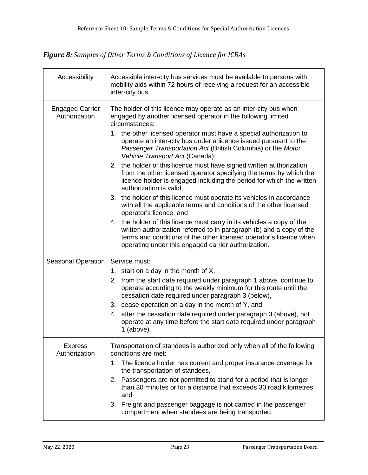*Figure 8: Samples of Other Terms & Conditions of Licence for ICBAs*

| Accessibility                           | Accessible inter-city bus services must be available to persons with<br>mobility aids within 72 hours of receiving a request for an accessible<br>inter-city bus.                                                                                                                                                                                                                                 |  |  |
|-----------------------------------------|---------------------------------------------------------------------------------------------------------------------------------------------------------------------------------------------------------------------------------------------------------------------------------------------------------------------------------------------------------------------------------------------------|--|--|
| <b>Engaged Carrier</b><br>Authorization | The holder of this licence may operate as an inter-city bus when<br>engaged by another licensed operator in the following limited<br>circumstances:<br>1. the other licensed operator must have a special authorization to<br>operate an inter-city bus under a licence issued pursuant to the<br>Passenger Transportation Act (British Columbia) or the Motor<br>Vehicle Transport Act (Canada); |  |  |
|                                         | 2. the holder of this licence must have signed written authorization<br>from the other licensed operator specifying the terms by which the<br>licence holder is engaged including the period for which the written<br>authorization is valid;                                                                                                                                                     |  |  |
|                                         | 3. the holder of this licence must operate its vehicles in accordance<br>with all the applicable terms and conditions of the other licensed<br>operator's licence; and                                                                                                                                                                                                                            |  |  |
|                                         | 4. the holder of this licence must carry in its vehicles a copy of the<br>written authorization referred to in paragraph (b) and a copy of the<br>terms and conditions of the other licensed operator's licence when<br>operating under this engaged carrier authorization.                                                                                                                       |  |  |
| <b>Seasonal Operation</b>               | Service must:                                                                                                                                                                                                                                                                                                                                                                                     |  |  |
|                                         | 1. start on a day in the month of $X$ ,<br>2. from the start date required under paragraph 1 above, continue to<br>operate according to the weekly minimum for this route until the<br>cessation date required under paragraph 3 (below),                                                                                                                                                         |  |  |
|                                         | 3. cease operation on a day in the month of Y, and                                                                                                                                                                                                                                                                                                                                                |  |  |
|                                         | 4. after the cessation date required under paragraph 3 (above), not<br>operate at any time before the start date required under paragraph<br>$1$ (above).                                                                                                                                                                                                                                         |  |  |
| <b>Express</b><br>Authorization         | Transportation of standees is authorized only when all of the following<br>conditions are met:                                                                                                                                                                                                                                                                                                    |  |  |
|                                         | 1. The licence holder has current and proper insurance coverage for<br>the transportation of standees,                                                                                                                                                                                                                                                                                            |  |  |
|                                         | Passengers are not permitted to stand for a period that is longer<br>2.<br>than 30 minutes or for a distance that exceeds 30 road kilometres,<br>and                                                                                                                                                                                                                                              |  |  |
|                                         | 3.<br>Freight and passenger baggage is not carried in the passenger<br>compartment when standees are being transported.                                                                                                                                                                                                                                                                           |  |  |